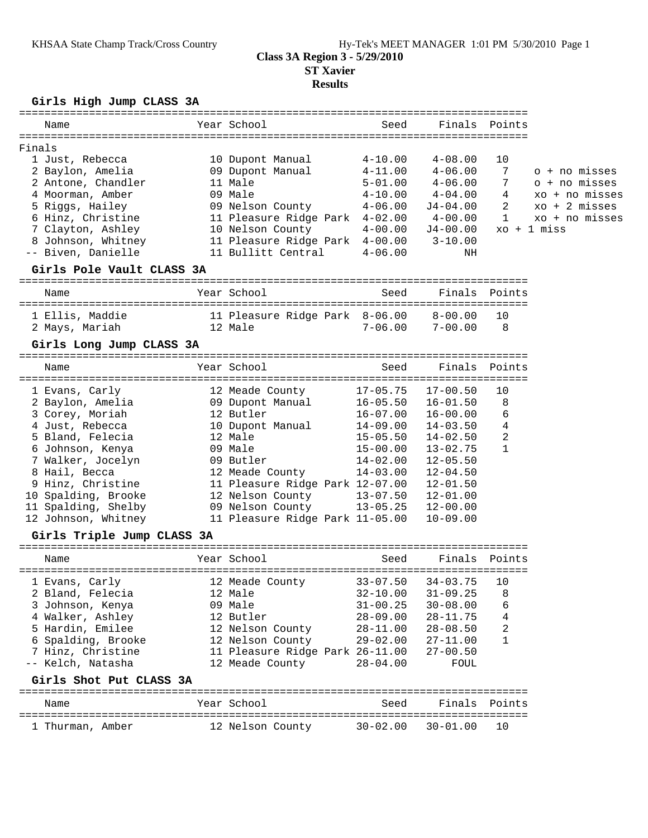# **Results**

**Girls High Jump CLASS 3A**

| Name                                                                                                                                                                                                                                                                                                                                                                                      | Year School                      | Seed         |                         | Finals Points |                         |
|-------------------------------------------------------------------------------------------------------------------------------------------------------------------------------------------------------------------------------------------------------------------------------------------------------------------------------------------------------------------------------------------|----------------------------------|--------------|-------------------------|---------------|-------------------------|
| Finals                                                                                                                                                                                                                                                                                                                                                                                    |                                  |              |                         |               |                         |
| 1 Just, Rebecca                                                                                                                                                                                                                                                                                                                                                                           | 10 Dupont Manual 4-10.00 4-08.00 |              |                         | 10            |                         |
| 2 Baylon, Amelia 69 Dupont Manual 4-11.00 4-06.00                                                                                                                                                                                                                                                                                                                                         |                                  |              |                         | 7             | o + no misses           |
| 2 Antone, Chandler 11 Male                                                                                                                                                                                                                                                                                                                                                                |                                  |              | $5 - 01.00$ $4 - 06.00$ | 7             | o + no misses           |
|                                                                                                                                                                                                                                                                                                                                                                                           |                                  |              |                         |               | xo + no misses          |
|                                                                                                                                                                                                                                                                                                                                                                                           |                                  |              |                         |               | $xo + 2 \text{ misses}$ |
| 4 Moorman, Amber $\begin{array}{lllllllll} 4 & 4-10.00 & 4-04.00 & 4 & xo + r \\ 5 \ \texttt{Riggs, Hailey} & 09 \ \texttt{Nelson County} & 4-06.00 & J4-04.00 & 2 & xo + 2 \\ 6 \ \texttt{Hinz, Christine} & 11 \ \texttt{Pleaseured Ridge Park} & 4-02.00 & 4-00.00 & 1 & xo + r \\ 7 \ \texttt{Clayton, Ashley} & 10 \ \texttt{Nelson County} & 4-00.00 & J4-00.00 & xo + 1 \ \texttt$ |                                  |              |                         |               | xo + no misses          |
|                                                                                                                                                                                                                                                                                                                                                                                           |                                  |              |                         |               |                         |
| 8 Johnson, Whitney 11 Pleasure Ridge Park 4-00.00 3-10.00                                                                                                                                                                                                                                                                                                                                 |                                  |              |                         |               |                         |
| -- Biven, Danielle                                                                                                                                                                                                                                                                                                                                                                        | 11 Bullitt Central 4-06.00       |              | ΝH                      |               |                         |
| Girls Pole Vault CLASS 3A                                                                                                                                                                                                                                                                                                                                                                 |                                  |              |                         |               |                         |
|                                                                                                                                                                                                                                                                                                                                                                                           |                                  |              |                         |               |                         |
| Name                                                                                                                                                                                                                                                                                                                                                                                      | Year School                      | Seed         |                         | Finals Points |                         |
| 1 Ellis, Maddie 11 Pleasure Ridge Park 8-06.00 8-00.00                                                                                                                                                                                                                                                                                                                                    |                                  |              |                         | 10            |                         |
| 2 Mays, Mariah 12 Male                                                                                                                                                                                                                                                                                                                                                                    | $7-06.00$ $7-00.00$              |              |                         | - 8           |                         |
| Girls Long Jump CLASS 3A                                                                                                                                                                                                                                                                                                                                                                  |                                  |              |                         |               |                         |
|                                                                                                                                                                                                                                                                                                                                                                                           |                                  |              |                         |               |                         |
| Name                                                                                                                                                                                                                                                                                                                                                                                      | Year School                      | Seed         |                         | Finals Points |                         |
|                                                                                                                                                                                                                                                                                                                                                                                           |                                  |              |                         | 10            |                         |
| 1 Evans, Carly 12 Meade County 17-05.75 17-00.50 1<br>2 Baylon, Amelia 16-05.50 16-01.50<br>3 Corey, Moriah 12 Butler 16-07.00 16-00.00                                                                                                                                                                                                                                                   |                                  |              |                         | 8             |                         |
|                                                                                                                                                                                                                                                                                                                                                                                           |                                  |              |                         | 6             |                         |
| 4 Just, Rebecca                                                                                                                                                                                                                                                                                                                                                                           | 10 Dupont Manual 14-09.00        |              | $14 - 03.50$            | 4             |                         |
| 5 Bland, Felecia 12 Male                                                                                                                                                                                                                                                                                                                                                                  |                                  | $15 - 05.50$ | 14-02.50                | 2             |                         |
|                                                                                                                                                                                                                                                                                                                                                                                           |                                  | $15 - 00.00$ | $13 - 02.75$            | $\mathbf{1}$  |                         |
|                                                                                                                                                                                                                                                                                                                                                                                           |                                  |              | $12 - 05.50$            |               |                         |
| 7 Walker, Jocelyn (14-02.00)<br>8 Hail, Becca (12 Meade County (14-03.00)<br>9 Hinz, Christine (11 Pleasure Ridge Park 12-07.00)                                                                                                                                                                                                                                                          |                                  |              | $12 - 04.50$            |               |                         |
|                                                                                                                                                                                                                                                                                                                                                                                           |                                  |              | $12 - 01.50$            |               |                         |
| 10 Spalding, Brooke 12 Nelson County 13-07.50                                                                                                                                                                                                                                                                                                                                             |                                  |              | 12-01.00                |               |                         |
| 11 Spalding, Shelby 09 Nelson County 13-05.25                                                                                                                                                                                                                                                                                                                                             |                                  |              | 12-00.00                |               |                         |
| 12 Johnson, Whitney 11 Pleasure Ridge Park 11-05.00                                                                                                                                                                                                                                                                                                                                       |                                  |              | $10 - 09.00$            |               |                         |
| Girls Triple Jump CLASS 3A                                                                                                                                                                                                                                                                                                                                                                |                                  |              |                         |               |                         |
|                                                                                                                                                                                                                                                                                                                                                                                           |                                  |              |                         |               |                         |
| Name                                                                                                                                                                                                                                                                                                                                                                                      | Year School                      | Seed         |                         | Finals Points |                         |
| 1 Evans, Carly                                                                                                                                                                                                                                                                                                                                                                            | 12 Meade County                  | $33 - 07.50$ | $34 - 03.75$            | 10            |                         |
| 2 Bland, Felecia                                                                                                                                                                                                                                                                                                                                                                          | 12 Male                          | $32 - 10.00$ | $31 - 09.25$            | 8             |                         |
| 3 Johnson, Kenya                                                                                                                                                                                                                                                                                                                                                                          | 09 Male                          | $31 - 00.25$ | $30 - 08.00$            | 6             |                         |
| 4 Walker, Ashley                                                                                                                                                                                                                                                                                                                                                                          | 12 Butler                        | $28 - 09.00$ | $28 - 11.75$            | 4             |                         |
| 5 Hardin, Emilee                                                                                                                                                                                                                                                                                                                                                                          | 12 Nelson County                 | $28 - 11.00$ | $28 - 08.50$            | 2             |                         |
| 6 Spalding, Brooke                                                                                                                                                                                                                                                                                                                                                                        | 12 Nelson County                 | $29 - 02.00$ | $27 - 11.00$            | 1             |                         |
| 7 Hinz, Christine                                                                                                                                                                                                                                                                                                                                                                         | 11 Pleasure Ridge Park 26-11.00  |              | $27 - 00.50$            |               |                         |
| -- Kelch, Natasha                                                                                                                                                                                                                                                                                                                                                                         | 12 Meade County                  | $28 - 04.00$ | FOUL                    |               |                         |
| Girls Shot Put CLASS 3A                                                                                                                                                                                                                                                                                                                                                                   |                                  |              |                         |               |                         |
| Name                                                                                                                                                                                                                                                                                                                                                                                      | Year School                      | Seed         | Finals                  | Points        |                         |
|                                                                                                                                                                                                                                                                                                                                                                                           |                                  |              |                         |               |                         |
| 1 Thurman, Amber                                                                                                                                                                                                                                                                                                                                                                          | 12 Nelson County                 | $30 - 02.00$ | $30 - 01.00$            | 10            |                         |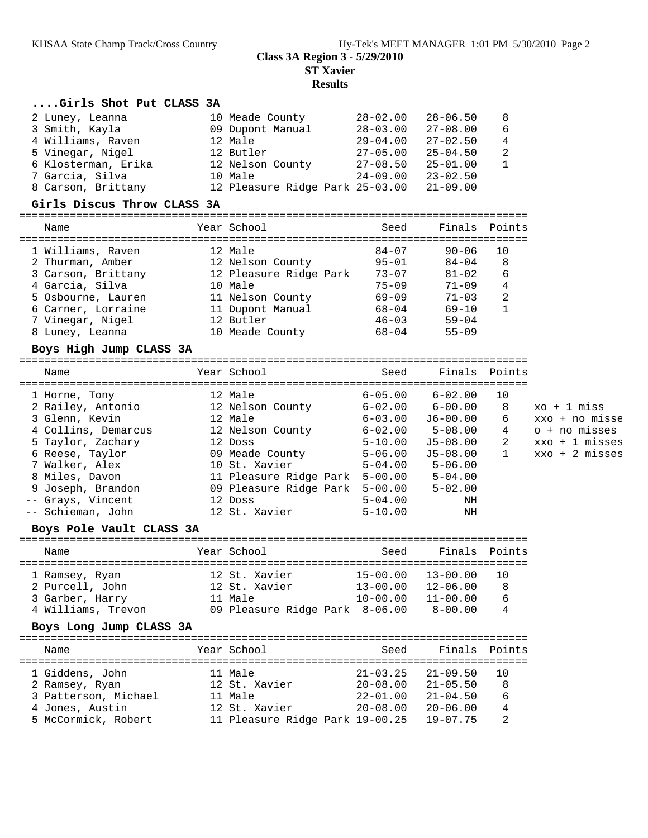# **Class 3A Region 3 - 5/29/2010 ST Xavier**

**Results**

## **....Girls Shot Put CLASS 3A**

| 2 Luney, Leanna     | 10 Meade County                 | $28 - 02.00$ | 28-06.50     | - 8            |
|---------------------|---------------------------------|--------------|--------------|----------------|
| 3 Smith, Kayla      | 09 Dupont Manual                | $28 - 03.00$ | $27 - 08.00$ | - 6            |
| 4 Williams, Raven   | 12 Male                         | $29 - 04.00$ | $27 - 02.50$ | $\overline{4}$ |
| 5 Vinegar, Nigel    | 12 Butler                       | $27 - 05.00$ | $25 - 04.50$ | - 2            |
| 6 Klosterman, Erika | 12 Nelson County                | $27 - 08.50$ | $25 - 01.00$ | $\overline{1}$ |
| 7 Garcia, Silva     | 10 Male                         | $24 - 09.00$ | $23 - 02.50$ |                |
| 8 Carson, Brittany  | 12 Pleasure Ridge Park 25-03.00 |              | $21 - 09.00$ |                |
|                     |                                 |              |              |                |

#### **Girls Discus Throw CLASS 3A**

================================================================================

| Name               | Year School            | Seed      | Finals Points |              |
|--------------------|------------------------|-----------|---------------|--------------|
| 1 Williams, Raven  | 12 Male                | $84 - 07$ | $90 - 06$     | 10           |
|                    |                        |           |               |              |
| 2 Thurman, Amber   | 12 Nelson County       | $95 - 01$ | $84 - 04$     | 8            |
| 3 Carson, Brittany | 12 Pleasure Ridge Park | $73 - 07$ | $81 - 02$     | 6            |
| 4 Garcia, Silva    | 10 Male                | $75 - 09$ | $71 - 09$     | 4            |
| 5 Osbourne, Lauren | 11 Nelson County       | $69 - 09$ | $71 - 03$     | 2            |
| 6 Carner, Lorraine | 11 Dupont Manual       | $68 - 04$ | $69 - 10$     | $\mathbf{1}$ |
| 7 Vinegar, Nigel   | 12 Butler              | $46 - 03$ | $59 - 04$     |              |
| 8 Luney, Leanna    | 10 Meade County        | $68 - 04$ | $55 - 09$     |              |

### **Boys High Jump CLASS 3A**

================================================================================ Name The Year School Seed Finals Points

| 1 Horne, Tony       | 12 Male                        | $6 - 05.00$ | $6 - 02.00$ | 10           |                          |
|---------------------|--------------------------------|-------------|-------------|--------------|--------------------------|
| 2 Railey, Antonio   | 12 Nelson County               | $6 - 02.00$ | $6 - 00.00$ | 8            | xo + 1 miss              |
| 3 Glenn, Kevin      | 12 Male                        | $6 - 03.00$ | $J6-00.00$  | 6            | xxo + no misse           |
| 4 Collins, Demarcus | 12 Nelson County               | $6 - 02.00$ | $5 - 08.00$ | 4            | o + no misses            |
| 5 Taylor, Zachary   | 12 Doss                        | $5 - 10.00$ | J5-08.00    | 2            | $xxo + 1$ misses         |
| 6 Reese, Taylor     | 09 Meade County                | $5 - 06.00$ | J5-08.00    | $\mathbf{1}$ | $xxo + 2 \text{ misses}$ |
| 7 Walker, Alex      | 10 St. Xavier                  | $5 - 04.00$ | $5 - 06.00$ |              |                          |
| 8 Miles, Davon      | 11 Pleasure Ridge Park 5-00.00 |             | $5 - 04.00$ |              |                          |
| 9 Joseph, Brandon   | 09 Pleasure Ridge Park 5-00.00 |             | $5 - 02.00$ |              |                          |
| -- Grays, Vincent   | 12 Doss                        | $5 - 04.00$ | ΝH          |              |                          |
| -- Schieman, John   | 12 St. Xavier                  | $5 - 10.00$ | NH          |              |                          |
|                     |                                |             |             |              |                          |

## **Boys Pole Vault CLASS 3A**

| Name               | Year School                    | Seed         | Finals Points |     |
|--------------------|--------------------------------|--------------|---------------|-----|
|                    |                                |              |               |     |
| 1 Ramsey, Ryan     | 12 St. Xavier                  | $15 - 00.00$ | $13 - 00.00$  |     |
| 2 Purcell, John    | 12 St. Xavier                  | $13 - 00.00$ | $12 - 06.00$  | - 8 |
| 3 Garber, Harry    | 11 Male                        | $10 - 00.00$ | $11 - 00.00$  | 6   |
| 4 Williams, Trevon | 09 Pleasure Ridge Park 8-06.00 |              | $8 - 00.00$   | 4   |

### **Boys Long Jump CLASS 3A**

================================================================================ Name Year School Seed Finals Points ================================================================================ 1 Giddens, John 11 Male 21-03.25 21-09.50 10 2 Ramsey, Ryan 12 St. Xavier 20-08.00 21-05.50 8 3 Patterson, Michael 11 Male 22-01.00 21-04.50 6 4 Jones, Austin 12 St. Xavier 20-08.00 20-06.00 4 5 McCormick, Robert 11 Pleasure Ridge Park 19-00.25 19-07.75 2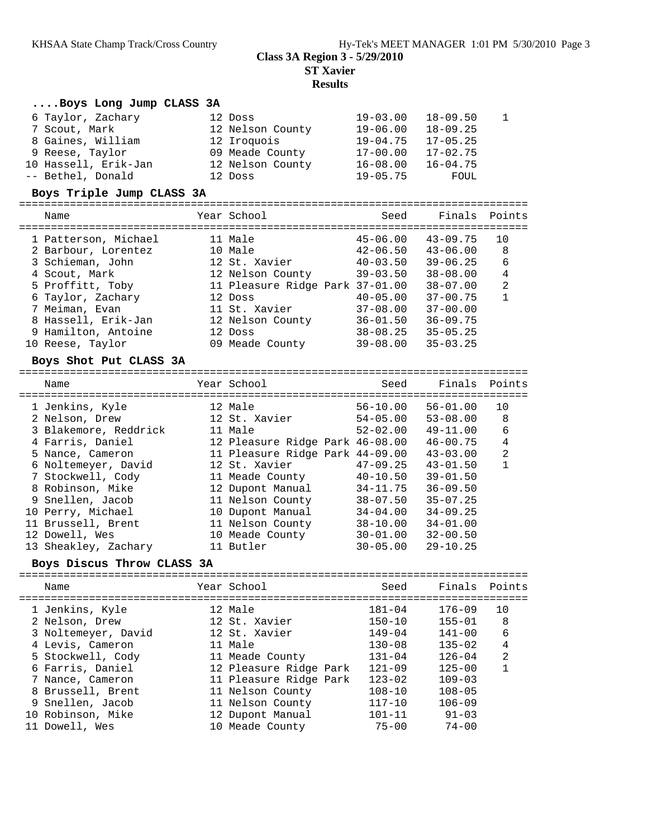## **Class 3A Region 3 - 5/29/2010 ST Xavier**

## **Results**

|                           | Boys Long Jump CLASS 3A                 |  |                                 |  |                              |                                |                |  |  |  |  |  |
|---------------------------|-----------------------------------------|--|---------------------------------|--|------------------------------|--------------------------------|----------------|--|--|--|--|--|
|                           | 6 Taylor, Zachary                       |  | 12 Doss                         |  | $19 - 03.00$                 | $18 - 09.50$                   | 1              |  |  |  |  |  |
|                           | 7 Scout, Mark                           |  | 12 Nelson County                |  | $19 - 06.00$                 | $18 - 09.25$                   |                |  |  |  |  |  |
|                           | 8 Gaines, William                       |  | 12 Iroquois                     |  | $19 - 04.75$                 | $17 - 05.25$                   |                |  |  |  |  |  |
|                           | 9 Reese, Taylor                         |  | 09 Meade County                 |  | $17 - 00.00$                 | $17 - 02.75$                   |                |  |  |  |  |  |
|                           | 10 Hassell, Erik-Jan                    |  | 12 Nelson County                |  | $16 - 08.00$                 | $16 - 04.75$                   |                |  |  |  |  |  |
|                           | -- Bethel, Donald                       |  | 12 Doss                         |  | $19 - 05.75$                 | FOUL                           |                |  |  |  |  |  |
|                           |                                         |  |                                 |  |                              |                                |                |  |  |  |  |  |
| Boys Triple Jump CLASS 3A |                                         |  |                                 |  |                              |                                |                |  |  |  |  |  |
|                           | Name                                    |  | Year School                     |  | Seed                         | Finals                         | Points         |  |  |  |  |  |
|                           |                                         |  |                                 |  |                              |                                |                |  |  |  |  |  |
|                           | 1 Patterson, Michael                    |  | 11 Male<br>10 Male              |  | $45 - 06.00$                 | $43 - 09.75$                   | 10             |  |  |  |  |  |
|                           | 2 Barbour, Lorentez                     |  | 12 St. Xavier                   |  | $42 - 06.50$                 | $43 - 06.00$<br>$39 - 06.25$   | 8<br>6         |  |  |  |  |  |
|                           | 3 Schieman, John<br>4 Scout, Mark       |  | 12 Nelson County                |  | $40 - 03.50$<br>$39 - 03.50$ | $38 - 08.00$                   | $\overline{4}$ |  |  |  |  |  |
|                           | 5 Proffitt, Toby                        |  | 11 Pleasure Ridge Park 37-01.00 |  |                              | $38 - 07.00$                   | 2              |  |  |  |  |  |
|                           | 6 Taylor, Zachary                       |  | 12 Doss                         |  | $40 - 05.00$                 | $37 - 00.75$                   | $\mathbf{1}$   |  |  |  |  |  |
|                           |                                         |  | 11 St. Xavier                   |  |                              | $37 - 00.00$                   |                |  |  |  |  |  |
|                           | 7 Meiman, Evan                          |  |                                 |  | $37 - 08.00$                 |                                |                |  |  |  |  |  |
|                           | 8 Hassell, Erik-Jan                     |  | 12 Nelson County                |  | $36 - 01.50$                 | $36 - 09.75$                   |                |  |  |  |  |  |
|                           | 9 Hamilton, Antoine<br>10 Reese, Taylor |  | 12 Doss                         |  | $38 - 08.25$                 | $35 - 05.25$                   |                |  |  |  |  |  |
|                           |                                         |  | 09 Meade County                 |  | $39 - 08.00$                 | $35 - 03.25$                   |                |  |  |  |  |  |
|                           | Boys Shot Put CLASS 3A                  |  |                                 |  |                              |                                |                |  |  |  |  |  |
|                           | Name                                    |  | Year School                     |  | Seed                         | Finals                         | Points         |  |  |  |  |  |
|                           | 1 Jenkins, Kyle                         |  | 12 Male                         |  | $56 - 10.00$                 | $56 - 01.00$                   | 10             |  |  |  |  |  |
|                           | 2 Nelson, Drew                          |  | 12 St. Xavier                   |  | $54 - 05.00$                 | $53 - 08.00$                   | 8              |  |  |  |  |  |
|                           | 3 Blakemore, Reddrick                   |  | 11 Male                         |  | $52 - 02.00$                 | $49 - 11.00$                   | 6              |  |  |  |  |  |
|                           | 4 Farris, Daniel                        |  | 12 Pleasure Ridge Park 46-08.00 |  |                              | $46 - 00.75$                   | $\overline{4}$ |  |  |  |  |  |
|                           | 5 Nance, Cameron                        |  | 11 Pleasure Ridge Park 44-09.00 |  |                              | $43 - 03.00$                   | $\overline{2}$ |  |  |  |  |  |
|                           | 6 Noltemeyer, David                     |  | 12 St. Xavier                   |  | $47 - 09.25$                 | $43 - 01.50$                   | $\mathbf{1}$   |  |  |  |  |  |
|                           | 7 Stockwell, Cody                       |  | 11 Meade County                 |  | $40 - 10.50$                 | $39 - 01.50$                   |                |  |  |  |  |  |
|                           | 8 Robinson, Mike                        |  | 12 Dupont Manual                |  | $34 - 11.75$                 | $36 - 09.50$                   |                |  |  |  |  |  |
|                           | 9 Snellen, Jacob                        |  | 11 Nelson County                |  | $38 - 07.50$                 | $35 - 07.25$                   |                |  |  |  |  |  |
|                           | 10 Perry, Michael                       |  | 10 Dupont Manual                |  | $34 - 04.00$                 | $34 - 09.25$                   |                |  |  |  |  |  |
|                           | 11 Brussell, Brent                      |  | 11 Nelson County                |  | $38 - 10.00$                 | $34 - 01.00$                   |                |  |  |  |  |  |
|                           | 12 Dowell, Wes                          |  | 10 Meade County                 |  | $30 - 01.00$                 | $32 - 00.50$                   |                |  |  |  |  |  |
|                           | 13 Sheakley, Zachary                    |  | 11 Butler                       |  | $30 - 05.00$                 | $29 - 10.25$                   |                |  |  |  |  |  |
|                           | Boys Discus Throw CLASS 3A              |  |                                 |  |                              |                                |                |  |  |  |  |  |
|                           |                                         |  |                                 |  |                              |                                |                |  |  |  |  |  |
|                           | Name                                    |  | Year School                     |  | Seed                         | Finals<br>:========== <b>:</b> | Points         |  |  |  |  |  |
|                           | 1 Jenkins, Kyle                         |  | 12 Male                         |  | $181 - 04$                   | $176 - 09$                     | 10             |  |  |  |  |  |
|                           | 2 Nelson, Drew                          |  | 12 St. Xavier                   |  | $150 - 10$                   | $155 - 01$                     | $\,8\,$        |  |  |  |  |  |
|                           | 3 Noltemeyer, David                     |  | 12 St. Xavier                   |  | $149 - 04$                   | $141 - 00$                     | 6              |  |  |  |  |  |
|                           | 4 Levis, Cameron                        |  | 11 Male                         |  | $130 - 08$                   | $135 - 02$                     | 4              |  |  |  |  |  |
|                           | 5 Stockwell, Cody                       |  | 11 Meade County                 |  | $131 - 04$                   | $126 - 04$                     | $\sqrt{2}$     |  |  |  |  |  |
|                           | 6 Farris, Daniel                        |  | 12 Pleasure Ridge Park          |  | $121 - 09$                   | $125 - 00$                     | $\mathbf{1}$   |  |  |  |  |  |
|                           | 7 Nance, Cameron                        |  | 11 Pleasure Ridge Park          |  | $123 - 02$                   | $109 - 03$                     |                |  |  |  |  |  |
|                           | 8 Brussell, Brent                       |  | 11 Nelson County                |  | $108 - 10$                   | $108 - 05$                     |                |  |  |  |  |  |
|                           | 9 Snellen, Jacob                        |  | 11 Nelson County                |  | $117 - 10$                   | $106 - 09$                     |                |  |  |  |  |  |
|                           | 10 Robinson, Mike                       |  | 12 Dupont Manual                |  | $101 - 11$                   | $91 - 03$                      |                |  |  |  |  |  |
|                           | 11 Dowell, Wes                          |  | 10 Meade County                 |  | $75 - 00$                    | $74 - 00$                      |                |  |  |  |  |  |
|                           |                                         |  |                                 |  |                              |                                |                |  |  |  |  |  |